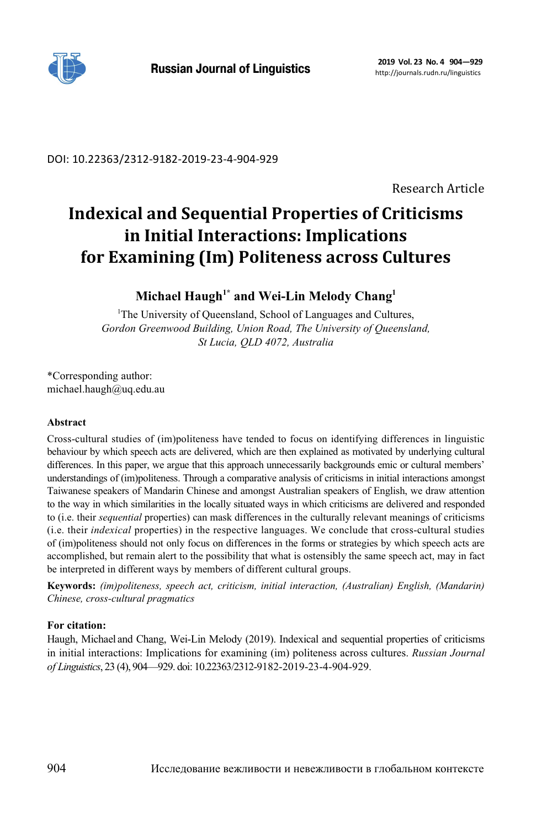

DOI: 10.22363/2312-9182-2019-23-4-904-929

Research Article

# **Indexical and Sequential Properties of Criticisms in Initial Interactions: Implications for Examining (Im) Politeness across Cultures**

# **Michael Haugh1\* and Wei-Lin Melody Chang1**

<sup>1</sup>The University of Queensland, School of Languages and Cultures, *Gordon Greenwood Building, Union Road, The University of Queensland, St Lucia, QLD 4072, Australia* 

\*Corresponding author: michael.haugh@uq.edu.au

## **Abstract**

Cross-cultural studies of (im)politeness have tended to focus on identifying differences in linguistic behaviour by which speech acts are delivered, which are then explained as motivated by underlying cultural differences. In this paper, we argue that this approach unnecessarily backgrounds emic or cultural members' understandings of (im)politeness. Through a comparative analysis of criticisms in initial interactions amongst Taiwanese speakers of Mandarin Chinese and amongst Australian speakers of English, we draw attention to the way in which similarities in the locally situated ways in which criticisms are delivered and responded to (i.e. their *sequential* properties) can mask differences in the culturally relevant meanings of criticisms (i.e. their *indexical* properties) in the respective languages. We conclude that cross-cultural studies of (im)politeness should not only focus on differences in the forms or strategies by which speech acts are accomplished, but remain alert to the possibility that what is ostensibly the same speech act, may in fact be interpreted in different ways by members of different cultural groups.

**Keywords:** *(im)politeness, speech act, criticism, initial interaction, (Australian) English, (Mandarin) Chinese, cross-cultural pragmatics*

# **For citation:**

Haugh, Michael and Chang, Wei-Lin Melody (2019). Indexical and sequential properties of criticisms in initial interactions: Implications for examining (im) politeness across cultures. *Russian Journal of Linguistics*, 23 (4), 904—929. doi: 10.22363/2312-9182-2019-23-4-904-929.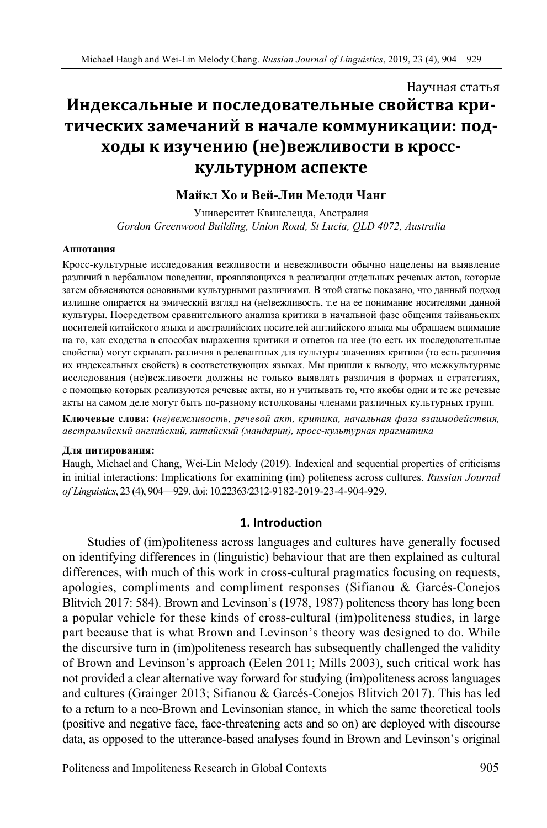# Научная статья **Индексальные и последовательные свойства критических замечаний в начале коммуникации: подходы к изучению (не)вежливости в кросскультурном аспекте**

# **Майкл Хо и Вей-Лин Мелоди Чанг**

Университет Квинсленда, Австралия *Gordon Greenwood Building, Union Road, St Lucia, QLD 4072, Australia* 

#### **Аннотация**

Кросс-культурные исследования вежливости и невежливости обычно нацелены на выявление различий в вербальном поведении, проявляющихся в реализации отдельных речевых актов, которые затем объясняются основными культурными различиями. В этой статье показано, что данный подход излишне опирается на эмический взгляд на (не)вежливость, т.е на ее понимание носителями данной культуры. Посредством сравнительного анализа критики в начальной фазе общения тайваньских носителей китайского языка и австралийских носителей английского языка мы обращаем внимание на то, как сходства в способах выражения критики и ответов на нее (то есть их последовательные свойства) могут скрывать различия в релевантных для культуры значениях критики (то есть различия их индексальных свойств) в соответствующих языках. Мы пришли к выводу, что межкультурные исследования (не)вежливости должны не только выявлять различия в формах и стратегиях, с помощью которых реализуются речевые акты, но и учитывать то, что якобы одни и те же речевые акты на самом деле могут быть по-разному истолкованы членами различных культурных групп.

**Ключевые слова:** (*не)вежливость, речевой акт, критика, начальная фаза взаимодействия, австралийский английский, китайский (мандарин), кросс-культурная прагматика*

#### **Для цитирования:**

Haugh, Michael and Chang, Wei-Lin Melody (2019). Indexical and sequential properties of criticisms in initial interactions: Implications for examining (im) politeness across cultures. *Russian Journal of Linguistics*, 23 (4), 904—929. doi: 10.22363/2312-9182-2019-23-4-904-929.

#### **1. Introduction**

Studies of (im)politeness across languages and cultures have generally focused on identifying differences in (linguistic) behaviour that are then explained as cultural differences, with much of this work in cross-cultural pragmatics focusing on requests, apologies, compliments and compliment responses (Sifianou & Garcés-Conejos Blitvich 2017: 584). Brown and Levinson's (1978, 1987) politeness theory has long been a popular vehicle for these kinds of cross-cultural (im)politeness studies, in large part because that is what Brown and Levinson's theory was designed to do. While the discursive turn in (im)politeness research has subsequently challenged the validity of Brown and Levinson's approach (Eelen 2011; Mills 2003), such critical work has not provided a clear alternative way forward for studying (im)politeness across languages and cultures (Grainger 2013; Sifianou & Garcés-Conejos Blitvich 2017). This has led to a return to a neo-Brown and Levinsonian stance, in which the same theoretical tools (positive and negative face, face-threatening acts and so on) are deployed with discourse data, as opposed to the utterance-based analyses found in Brown and Levinson's original

Politeness and Impoliteness Research in Global Contexts 905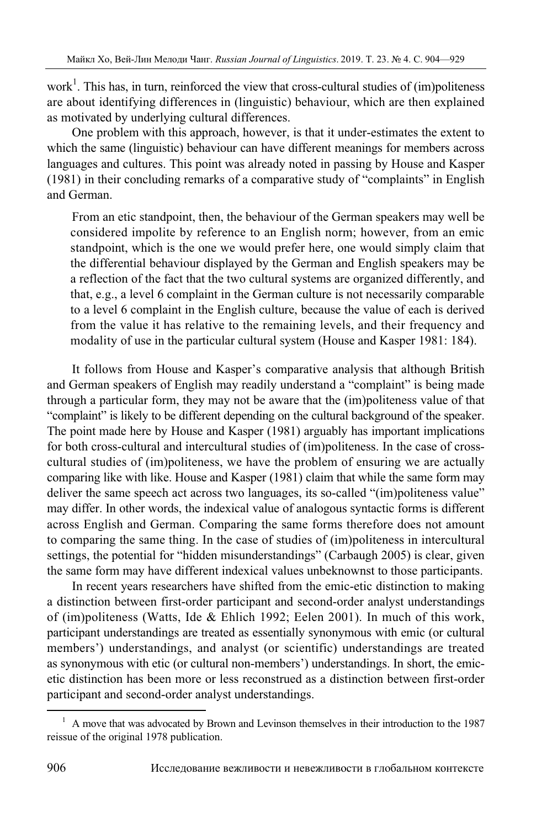work<sup>1</sup>. This has, in turn, reinforced the view that cross-cultural studies of  $(im)$  politeness are about identifying differences in (linguistic) behaviour, which are then explained as motivated by underlying cultural differences.

One problem with this approach, however, is that it under-estimates the extent to which the same (linguistic) behaviour can have different meanings for members across languages and cultures. This point was already noted in passing by House and Kasper (1981) in their concluding remarks of a comparative study of "complaints" in English and German.

From an etic standpoint, then, the behaviour of the German speakers may well be considered impolite by reference to an English norm; however, from an emic standpoint, which is the one we would prefer here, one would simply claim that the differential behaviour displayed by the German and English speakers may be a reflection of the fact that the two cultural systems are organized differently, and that, e.g., a level 6 complaint in the German culture is not necessarily comparable to a level 6 complaint in the English culture, because the value of each is derived from the value it has relative to the remaining levels, and their frequency and modality of use in the particular cultural system (House and Kasper 1981: 184).

It follows from House and Kasper's comparative analysis that although British and German speakers of English may readily understand a "complaint" is being made through a particular form, they may not be aware that the (im)politeness value of that "complaint" is likely to be different depending on the cultural background of the speaker. The point made here by House and Kasper (1981) arguably has important implications for both cross-cultural and intercultural studies of (im)politeness. In the case of crosscultural studies of (im)politeness, we have the problem of ensuring we are actually comparing like with like. House and Kasper (1981) claim that while the same form may deliver the same speech act across two languages, its so-called "(im)politeness value" may differ. In other words, the indexical value of analogous syntactic forms is different across English and German. Comparing the same forms therefore does not amount to comparing the same thing. In the case of studies of (im)politeness in intercultural settings, the potential for "hidden misunderstandings" (Carbaugh 2005) is clear, given the same form may have different indexical values unbeknownst to those participants.

In recent years researchers have shifted from the emic-etic distinction to making a distinction between first-order participant and second-order analyst understandings of (im)politeness (Watts, Ide & Ehlich 1992; Eelen 2001). In much of this work, participant understandings are treated as essentially synonymous with emic (or cultural members') understandings, and analyst (or scientific) understandings are treated as synonymous with etic (or cultural non-members') understandings. In short, the emicetic distinction has been more or less reconstrued as a distinction between first-order participant and second-order analyst understandings.

 $\frac{1}{1}$  $<sup>1</sup>$  A move that was advocated by Brown and Levinson themselves in their introduction to the 1987</sup> reissue of the original 1978 publication.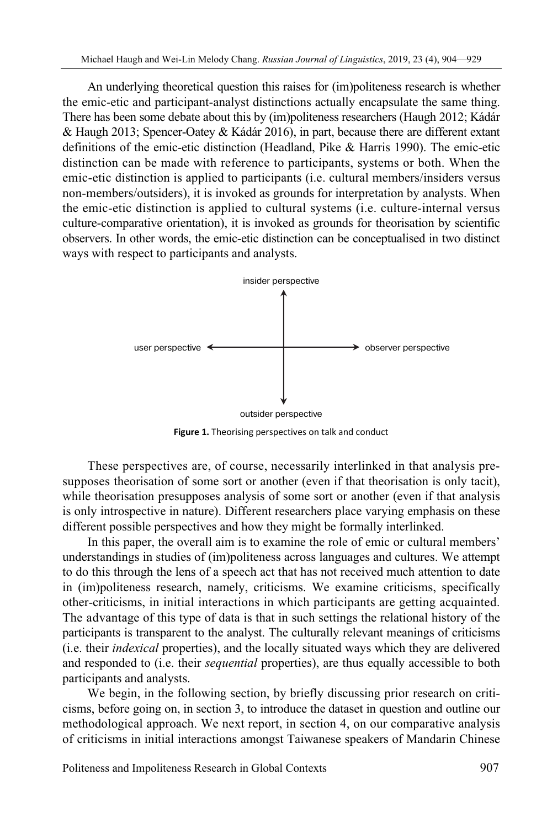An underlying theoretical question this raises for (im)politeness research is whether the emic-etic and participant-analyst distinctions actually encapsulate the same thing. There has been some debate about this by (im)politeness researchers (Haugh 2012; Kádár & Haugh 2013; Spencer-Oatey & Kádár 2016), in part, because there are different extant definitions of the emic-etic distinction (Headland, Pike & Harris 1990). The emic-etic distinction can be made with reference to participants, systems or both. When the emic-etic distinction is applied to participants (i.e. cultural members/insiders versus non-members/outsiders), it is invoked as grounds for interpretation by analysts. When the emic-etic distinction is applied to cultural systems (i.e. culture-internal versus culture-comparative orientation), it is invoked as grounds for theorisation by scientific observers. In other words, the emic-etic distinction can be conceptualised in two distinct ways with respect to participants and analysts.



**Figure 1.** Theorising perspectives on talk and conduct

These perspectives are, of course, necessarily interlinked in that analysis presupposes theorisation of some sort or another (even if that theorisation is only tacit), while theorisation presupposes analysis of some sort or another (even if that analysis is only introspective in nature). Different researchers place varying emphasis on these different possible perspectives and how they might be formally interlinked.

In this paper, the overall aim is to examine the role of emic or cultural members' understandings in studies of (im)politeness across languages and cultures. We attempt to do this through the lens of a speech act that has not received much attention to date in (im)politeness research, namely, criticisms. We examine criticisms, specifically other-criticisms, in initial interactions in which participants are getting acquainted. The advantage of this type of data is that in such settings the relational history of the participants is transparent to the analyst. The culturally relevant meanings of criticisms (i.e. their *indexical* properties), and the locally situated ways which they are delivered and responded to (i.e. their *sequential* properties), are thus equally accessible to both participants and analysts.

We begin, in the following section, by briefly discussing prior research on criticisms, before going on, in section 3, to introduce the dataset in question and outline our methodological approach. We next report, in section 4, on our comparative analysis of criticisms in initial interactions amongst Taiwanese speakers of Mandarin Chinese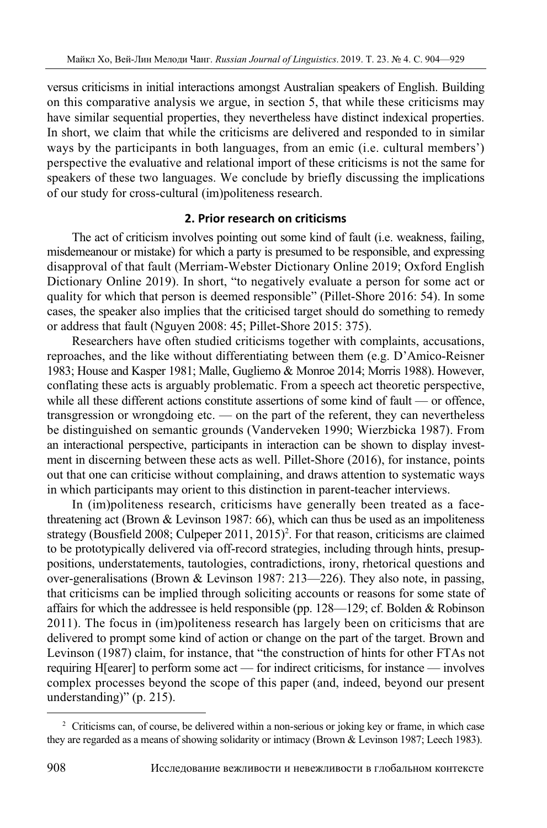versus criticisms in initial interactions amongst Australian speakers of English. Building on this comparative analysis we argue, in section 5, that while these criticisms may have similar sequential properties, they nevertheless have distinct indexical properties. In short, we claim that while the criticisms are delivered and responded to in similar ways by the participants in both languages, from an emic (i.e. cultural members') perspective the evaluative and relational import of these criticisms is not the same for speakers of these two languages. We conclude by briefly discussing the implications of our study for cross-cultural (im)politeness research.

# **2. Prior research on criticisms**

The act of criticism involves pointing out some kind of fault (i.e. weakness, failing, misdemeanour or mistake) for which a party is presumed to be responsible, and expressing disapproval of that fault (Merriam-Webster Dictionary Online 2019; Oxford English Dictionary Online 2019). In short, "to negatively evaluate a person for some act or quality for which that person is deemed responsible" (Pillet-Shore 2016: 54). In some cases, the speaker also implies that the criticised target should do something to remedy or address that fault (Nguyen 2008: 45; Pillet-Shore 2015: 375).

Researchers have often studied criticisms together with complaints, accusations, reproaches, and the like without differentiating between them (e.g. D'Amico-Reisner 1983; House and Kasper 1981; Malle, Gugliemo & Monroe 2014; Morris 1988). However, conflating these acts is arguably problematic. From a speech act theoretic perspective, while all these different actions constitute assertions of some kind of fault — or offence, transgression or wrongdoing etc. — on the part of the referent, they can nevertheless be distinguished on semantic grounds (Vanderveken 1990; Wierzbicka 1987). From an interactional perspective, participants in interaction can be shown to display investment in discerning between these acts as well. Pillet-Shore (2016), for instance, points out that one can criticise without complaining, and draws attention to systematic ways in which participants may orient to this distinction in parent-teacher interviews.

In (im)politeness research, criticisms have generally been treated as a facethreatening act (Brown  $&$  Levinson 1987: 66), which can thus be used as an impoliteness strategy (Bousfield 2008; Culpeper 2011, 2015)<sup>2</sup>. For that reason, criticisms are claimed to be prototypically delivered via off-record strategies, including through hints, presuppositions, understatements, tautologies, contradictions, irony, rhetorical questions and over-generalisations (Brown & Levinson 1987: 213—226). They also note, in passing, that criticisms can be implied through soliciting accounts or reasons for some state of affairs for which the addressee is held responsible (pp.  $128 - 129$ ; cf. Bolden & Robinson 2011). The focus in (im)politeness research has largely been on criticisms that are delivered to prompt some kind of action or change on the part of the target. Brown and Levinson (1987) claim, for instance, that "the construction of hints for other FTAs not requiring H[earer] to perform some act — for indirect criticisms, for instance — involves complex processes beyond the scope of this paper (and, indeed, beyond our present understanding)" (p. 215).

<sup>&</sup>lt;sup>2</sup> Criticisms can, of course, be delivered within a non-serious or joking key or frame, in which case they are regarded as a means of showing solidarity or intimacy (Brown & Levinson 1987; Leech 1983).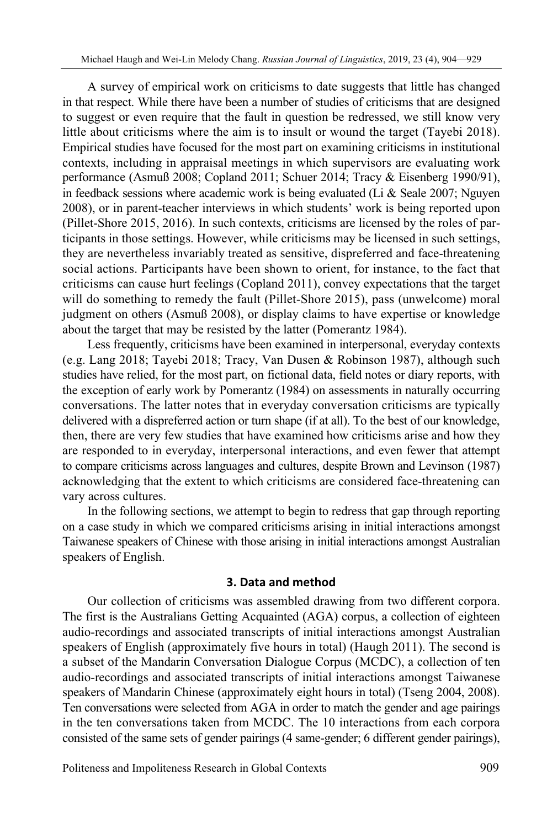A survey of empirical work on criticisms to date suggests that little has changed in that respect. While there have been a number of studies of criticisms that are designed to suggest or even require that the fault in question be redressed, we still know very little about criticisms where the aim is to insult or wound the target (Tayebi 2018). Empirical studies have focused for the most part on examining criticisms in institutional contexts, including in appraisal meetings in which supervisors are evaluating work performance (Asmuß 2008; Copland 2011; Schuer 2014; Tracy & Eisenberg 1990/91), in feedback sessions where academic work is being evaluated (Li  $&$  Seale 2007; Nguyen 2008), or in parent-teacher interviews in which students' work is being reported upon (Pillet-Shore 2015, 2016). In such contexts, criticisms are licensed by the roles of participants in those settings. However, while criticisms may be licensed in such settings, they are nevertheless invariably treated as sensitive, dispreferred and face-threatening social actions. Participants have been shown to orient, for instance, to the fact that criticisms can cause hurt feelings (Copland 2011), convey expectations that the target will do something to remedy the fault (Pillet-Shore 2015), pass (unwelcome) moral judgment on others (Asmuß 2008), or display claims to have expertise or knowledge about the target that may be resisted by the latter (Pomerantz 1984).

Less frequently, criticisms have been examined in interpersonal, everyday contexts (e.g. Lang 2018; Tayebi 2018; Tracy, Van Dusen & Robinson 1987), although such studies have relied, for the most part, on fictional data, field notes or diary reports, with the exception of early work by Pomerantz (1984) on assessments in naturally occurring conversations. The latter notes that in everyday conversation criticisms are typically delivered with a dispreferred action or turn shape (if at all). To the best of our knowledge, then, there are very few studies that have examined how criticisms arise and how they are responded to in everyday, interpersonal interactions, and even fewer that attempt to compare criticisms across languages and cultures, despite Brown and Levinson (1987) acknowledging that the extent to which criticisms are considered face-threatening can vary across cultures.

In the following sections, we attempt to begin to redress that gap through reporting on a case study in which we compared criticisms arising in initial interactions amongst Taiwanese speakers of Chinese with those arising in initial interactions amongst Australian speakers of English.

# **3. Data and method**

Our collection of criticisms was assembled drawing from two different corpora. The first is the Australians Getting Acquainted (AGA) corpus, a collection of eighteen audio-recordings and associated transcripts of initial interactions amongst Australian speakers of English (approximately five hours in total) (Haugh 2011). The second is a subset of the Mandarin Conversation Dialogue Corpus (MCDC), a collection of ten audio-recordings and associated transcripts of initial interactions amongst Taiwanese speakers of Mandarin Chinese (approximately eight hours in total) (Tseng 2004, 2008). Ten conversations were selected from AGA in order to match the gender and age pairings in the ten conversations taken from MCDC. The 10 interactions from each corpora consisted of the same sets of gender pairings (4 same-gender; 6 different gender pairings),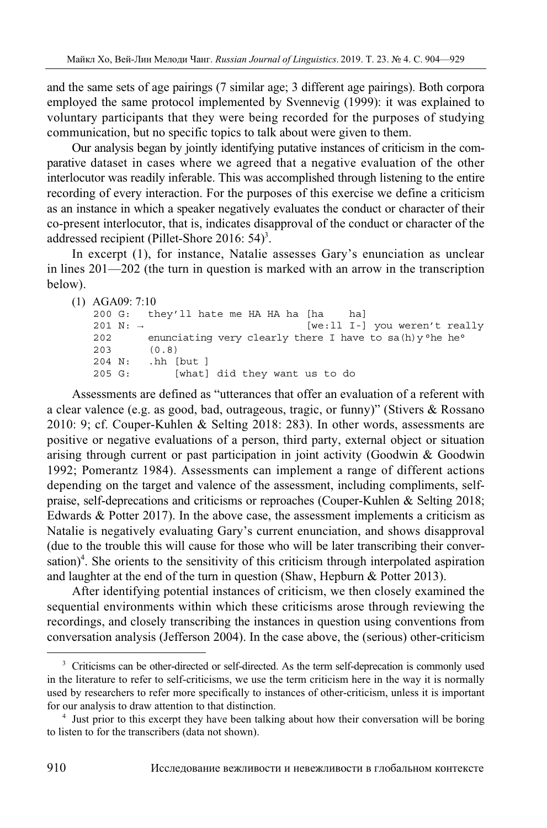and the same sets of age pairings (7 similar age; 3 different age pairings). Both corpora employed the same protocol implemented by Svennevig (1999): it was explained to voluntary participants that they were being recorded for the purposes of studying communication, but no specific topics to talk about were given to them.

Our analysis began by jointly identifying putative instances of criticism in the comparative dataset in cases where we agreed that a negative evaluation of the other interlocutor was readily inferable. This was accomplished through listening to the entire recording of every interaction. For the purposes of this exercise we define a criticism as an instance in which a speaker negatively evaluates the conduct or character of their co-present interlocutor, that is, indicates disapproval of the conduct or character of the addressed recipient (Pillet-Shore 2016:  $54$ )<sup>3</sup>.

In excerpt (1), for instance, Natalie assesses Gary's enunciation as unclear in lines 201—202 (the turn in question is marked with an arrow in the transcription below).

```
(1) AGA09: 7:10 
   200 G: they'll hate me HA HA ha [ha ha] 
   201 N: → [we:ll I-] you weren't really 
   202 enunciating very clearly there I have to sa(h)y^{\circ}he he<sup>o</sup>
   203 (0.8)
```
205 G: [what] did they want us to do

204 N: .hh [but ]

Assessments are defined as "utterances that offer an evaluation of a referent with a clear valence (e.g. as good, bad, outrageous, tragic, or funny)" (Stivers & Rossano 2010: 9; cf. Couper-Kuhlen & Selting 2018: 283). In other words, assessments are positive or negative evaluations of a person, third party, external object or situation arising through current or past participation in joint activity (Goodwin & Goodwin 1992; Pomerantz 1984). Assessments can implement a range of different actions depending on the target and valence of the assessment, including compliments, selfpraise, self-deprecations and criticisms or reproaches (Couper-Kuhlen & Selting 2018; Edwards & Potter 2017). In the above case, the assessment implements a criticism as Natalie is negatively evaluating Gary's current enunciation, and shows disapproval (due to the trouble this will cause for those who will be later transcribing their conversation)<sup>4</sup>. She orients to the sensitivity of this criticism through interpolated aspiration and laughter at the end of the turn in question (Shaw, Hepburn & Potter 2013).

After identifying potential instances of criticism, we then closely examined the sequential environments within which these criticisms arose through reviewing the recordings, and closely transcribing the instances in question using conventions from conversation analysis (Jefferson 2004). In the case above, the (serious) other-criticism

<sup>&</sup>lt;sup>3</sup> Criticisms can be other-directed or self-directed. As the term self-deprecation is commonly used in the literature to refer to self-criticisms, we use the term criticism here in the way it is normally used by researchers to refer more specifically to instances of other-criticism, unless it is important for our analysis to draw attention to that distinction. 4

<sup>&</sup>lt;sup>4</sup> Just prior to this excerpt they have been talking about how their conversation will be boring to listen to for the transcribers (data not shown).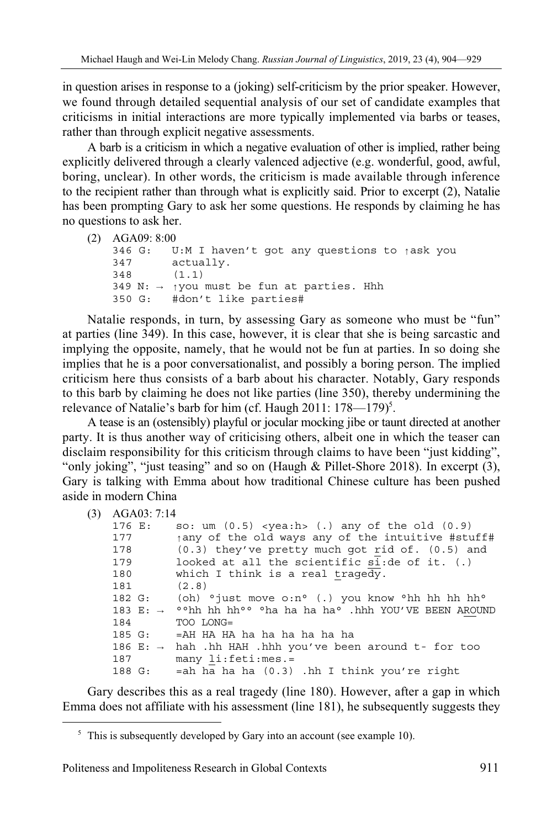in question arises in response to a (joking) self-criticism by the prior speaker. However, we found through detailed sequential analysis of our set of candidate examples that criticisms in initial interactions are more typically implemented via barbs or teases, rather than through explicit negative assessments.

A barb is a criticism in which a negative evaluation of other is implied, rather being explicitly delivered through a clearly valenced adjective (e.g. wonderful, good, awful, boring, unclear). In other words, the criticism is made available through inference to the recipient rather than through what is explicitly said. Prior to excerpt (2), Natalie has been prompting Gary to ask her some questions. He responds by claiming he has no questions to ask her.

```
(2) AGA09: 8:00
```

```
346 G: U:M I haven't got any questions to ↑ask you 
347 actually. 
348 (1.1) 
349 N: → ↑you must be fun at parties. Hhh 
350 G: #don't like parties#
```
Natalie responds, in turn, by assessing Gary as someone who must be "fun" at parties (line 349). In this case, however, it is clear that she is being sarcastic and implying the opposite, namely, that he would not be fun at parties. In so doing she implies that he is a poor conversationalist, and possibly a boring person. The implied criticism here thus consists of a barb about his character. Notably, Gary responds to this barb by claiming he does not like parties (line 350), thereby undermining the relevance of Natalie's barb for him (cf. Haugh  $2011: 178 - 179$ )<sup>5</sup>.

A tease is an (ostensibly) playful or jocular mocking jibe or taunt directed at another party. It is thus another way of criticising others, albeit one in which the teaser can disclaim responsibility for this criticism through claims to have been "just kidding", "only joking", "just teasing" and so on (Haugh & Pillet-Shore 2018). In excerpt (3), Gary is talking with Emma about how traditional Chinese culture has been pushed aside in modern China

```
(3) AGA03: 7:14
```
 $\overline{a}$ 

| 176 E: | so: um $(0.5)$ <yea:h> <math>(.)</math> any of the old <math>(0.9)</math></yea:h> |
|--------|-----------------------------------------------------------------------------------|
| 177    | $\uparrow$ any of the old ways any of the intuitive #stuff#                       |
| 178    | $(0.3)$ they've pretty much got rid of. $(0.5)$ and                               |
| 179    | looked at all the scientific si: de of it. (.)                                    |
| 180    | which I think is a real tragedy.                                                  |
| 181    | (2.8)                                                                             |
| 182 G: | (oh) $\circ$ just move o:n $\circ$ (.) you know $\circ$ hh hh hh hh $\circ$       |
|        | 183 E: $\rightarrow$ ° °hh hh hh ° °ha ha ha ha °.hhh YOU'VE BEEN AROUND          |
| 184    | TOO LONG=                                                                         |
| 185 G: | =AH HA HA ha ha ha ha ha ha                                                       |
|        | 186 E: $\rightarrow$ hah .hh HAH .hhh you've been around t- for too               |
| 187    | $many$ li: $feti:mes.=$                                                           |
| 188 G: | =ah ha ha ha (0.3) .hh I think you're right                                       |
|        |                                                                                   |

Gary describes this as a real tragedy (line 180). However, after a gap in which Emma does not affiliate with his assessment (line 181), he subsequently suggests they

<sup>&</sup>lt;sup>5</sup> This is subsequently developed by Gary into an account (see example 10).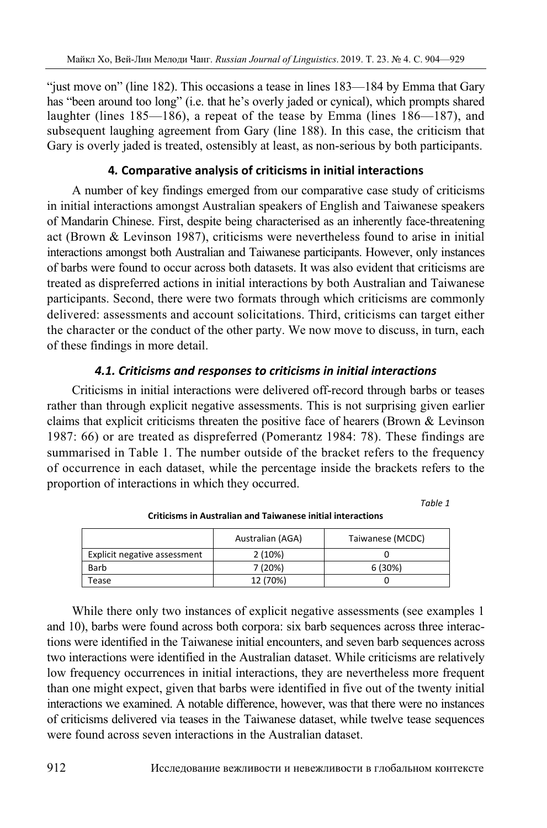"just move on" (line 182). This occasions a tease in lines 183—184 by Emma that Gary has "been around too long" (i.e. that he's overly jaded or cynical), which prompts shared laughter (lines 185—186), a repeat of the tease by Emma (lines 186—187), and subsequent laughing agreement from Gary (line 188). In this case, the criticism that Gary is overly jaded is treated, ostensibly at least, as non-serious by both participants.

# **4***.* **Comparative analysis of criticisms in initial interactions**

A number of key findings emerged from our comparative case study of criticisms in initial interactions amongst Australian speakers of English and Taiwanese speakers of Mandarin Chinese. First, despite being characterised as an inherently face-threatening act (Brown & Levinson 1987), criticisms were nevertheless found to arise in initial interactions amongst both Australian and Taiwanese participants. However, only instances of barbs were found to occur across both datasets. It was also evident that criticisms are treated as dispreferred actions in initial interactions by both Australian and Taiwanese participants. Second, there were two formats through which criticisms are commonly delivered: assessments and account solicitations. Third, criticisms can target either the character or the conduct of the other party. We now move to discuss, in turn, each of these findings in more detail.

# *4.1. Criticisms and responses to criticisms in initial interactions*

Criticisms in initial interactions were delivered off-record through barbs or teases rather than through explicit negative assessments. This is not surprising given earlier claims that explicit criticisms threaten the positive face of hearers (Brown & Levinson 1987: 66) or are treated as dispreferred (Pomerantz 1984: 78). These findings are summarised in Table 1. The number outside of the bracket refers to the frequency of occurrence in each dataset, while the percentage inside the brackets refers to the proportion of interactions in which they occurred.

*Table 1* 

|                              | Australian (AGA) | Taiwanese (MCDC) |
|------------------------------|------------------|------------------|
| Explicit negative assessment | 2(10%)           |                  |
| Barb                         | 7 (20%)          | 6(30%)           |
| Tease                        | 12 (70%)         |                  |

**Criticisms in Australian and Taiwanese initial interactions** 

While there only two instances of explicit negative assessments (see examples 1 and 10), barbs were found across both corpora: six barb sequences across three interactions were identified in the Taiwanese initial encounters, and seven barb sequences across two interactions were identified in the Australian dataset. While criticisms are relatively low frequency occurrences in initial interactions, they are nevertheless more frequent than one might expect, given that barbs were identified in five out of the twenty initial interactions we examined. A notable difference, however, was that there were no instances of criticisms delivered via teases in the Taiwanese dataset, while twelve tease sequences were found across seven interactions in the Australian dataset.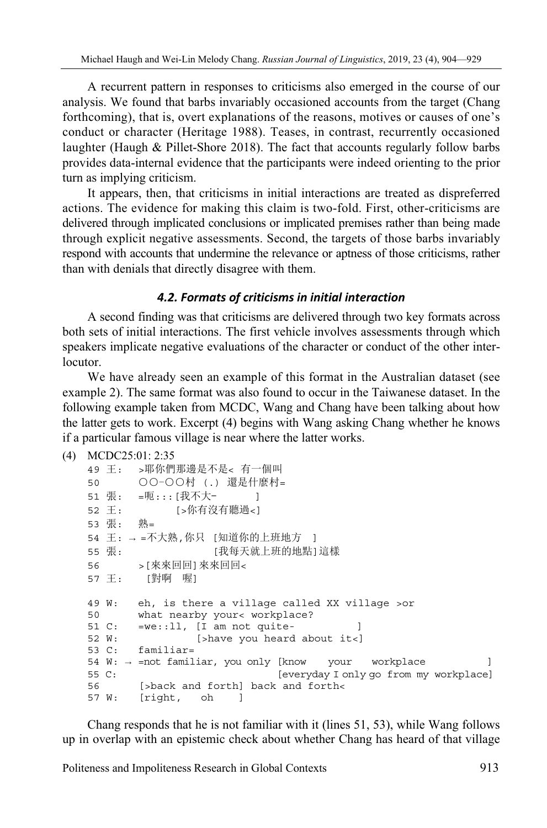A recurrent pattern in responses to criticisms also emerged in the course of our analysis. We found that barbs invariably occasioned accounts from the target (Chang forthcoming), that is, overt explanations of the reasons, motives or causes of one's conduct or character (Heritage 1988). Teases, in contrast, recurrently occasioned laughter (Haugh & Pillet-Shore 2018). The fact that accounts regularly follow barbs provides data-internal evidence that the participants were indeed orienting to the prior turn as implying criticism.

It appears, then, that criticisms in initial interactions are treated as dispreferred actions. The evidence for making this claim is two-fold. First, other-criticisms are delivered through implicated conclusions or implicated premises rather than being made through explicit negative assessments. Second, the targets of those barbs invariably respond with accounts that undermine the relevance or aptness of those criticisms, rather than with denials that directly disagree with them.

# *4.2. Formats of criticisms in initial interaction*

A second finding was that criticisms are delivered through two key formats across both sets of initial interactions. The first vehicle involves assessments through which speakers implicate negative evaluations of the character or conduct of the other interlocutor.

We have already seen an example of this format in the Australian dataset (see example 2). The same format was also found to occur in the Taiwanese dataset. In the following example taken from MCDC, Wang and Chang have been talking about how the latter gets to work. Excerpt (4) begins with Wang asking Chang whether he knows if a particular famous village is near where the latter works.

```
(4) MCDC25:01: 2:35
```

```
49 王: >耶你們那邊是不是< 有一個叫 
50 ○○-○○村 (.) 還是什麼村=
51 張: =呃:::[我不大- ]
52 王: [>你有沒有聽過<]
53 張: 熟= 
54 王: → =不大熟,你只 [知道你的上班地方 ] 
55 張: [我每天就上班的地點]這樣
56 >[來來回回]來來回回< 
57 王: [對啊 喔]
49 W: eh, is there a village called XX village >or 
50 what nearby your< workplace? 
51 C: = we: : 11, [I am not quite- ]
52 W: [>have you heard about it<] 
53 C: familiar= 
54 W: → =not familiar, you only [know your workplace ] 
55 C: [everyday I only go from my workplace] 
56 [>back and forth] back and forth< 
57 W: [right, oh ]
```
Chang responds that he is not familiar with it (lines 51, 53), while Wang follows up in overlap with an epistemic check about whether Chang has heard of that village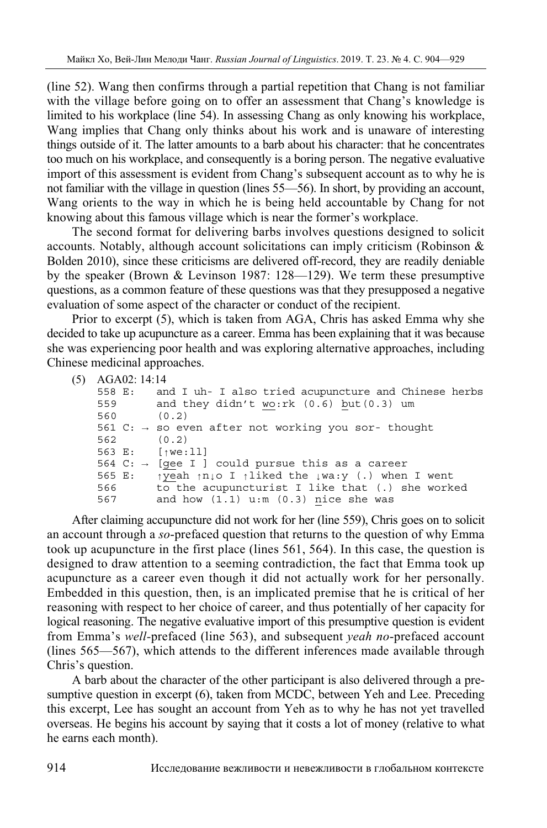(line 52). Wang then confirms through a partial repetition that Chang is not familiar with the village before going on to offer an assessment that Chang's knowledge is limited to his workplace (line 54). In assessing Chang as only knowing his workplace, Wang implies that Chang only thinks about his work and is unaware of interesting things outside of it. The latter amounts to a barb about his character: that he concentrates too much on his workplace, and consequently is a boring person. The negative evaluative import of this assessment is evident from Chang's subsequent account as to why he is not familiar with the village in question (lines 55—56). In short, by providing an account, Wang orients to the way in which he is being held accountable by Chang for not knowing about this famous village which is near the former's workplace.

The second format for delivering barbs involves questions designed to solicit accounts. Notably, although account solicitations can imply criticism (Robinson  $\&$ Bolden 2010), since these criticisms are delivered off-record, they are readily deniable by the speaker (Brown & Levinson 1987: 128—129). We term these presumptive questions, as a common feature of these questions was that they presupposed a negative evaluation of some aspect of the character or conduct of the recipient.

Prior to excerpt (5), which is taken from AGA, Chris has asked Emma why she decided to take up acupuncture as a career. Emma has been explaining that it was because she was experiencing poor health and was exploring alternative approaches, including Chinese medicinal approaches.

```
(5) AGA02: 14:14
```

|                                | 558 E: and I uh- I also tried acupuncture and Chinese herbs                   |
|--------------------------------|-------------------------------------------------------------------------------|
| 559                            | and they didn't wo:rk $(0.6)$ but $(0.3)$ um                                  |
| 560 -                          | (0.2)                                                                         |
|                                | 561 C: $\rightarrow$ so even after not working you sor- thought               |
| 562                            | (0, 2)                                                                        |
| 563 E: [ <sub>1</sub> we : 11] |                                                                               |
|                                | 564 C: $\rightarrow$ [gee I ] could pursue this as a career                   |
| 565 E:                         | $\gamma$ yeah $\gamma$ njo I $\gamma$ liked the $\gamma$ wa:y (.) when I went |
| 566 -                          | to the acupuncturist I like that (.) she worked                               |
| 567                            | and how $(1.1)$ u:m $(0.3)$ nice she was                                      |
|                                |                                                                               |

After claiming accupuncture did not work for her (line 559), Chris goes on to solicit an account through a *so*-prefaced question that returns to the question of why Emma took up acupuncture in the first place (lines 561, 564). In this case, the question is designed to draw attention to a seeming contradiction, the fact that Emma took up acupuncture as a career even though it did not actually work for her personally. Embedded in this question, then, is an implicated premise that he is critical of her reasoning with respect to her choice of career, and thus potentially of her capacity for logical reasoning. The negative evaluative import of this presumptive question is evident from Emma's *well-*prefaced (line 563), and subsequent *yeah no*-prefaced account (lines 565—567), which attends to the different inferences made available through Chris's question.

A barb about the character of the other participant is also delivered through a presumptive question in excerpt (6), taken from MCDC, between Yeh and Lee. Preceding this excerpt, Lee has sought an account from Yeh as to why he has not yet travelled overseas. He begins his account by saying that it costs a lot of money (relative to what he earns each month).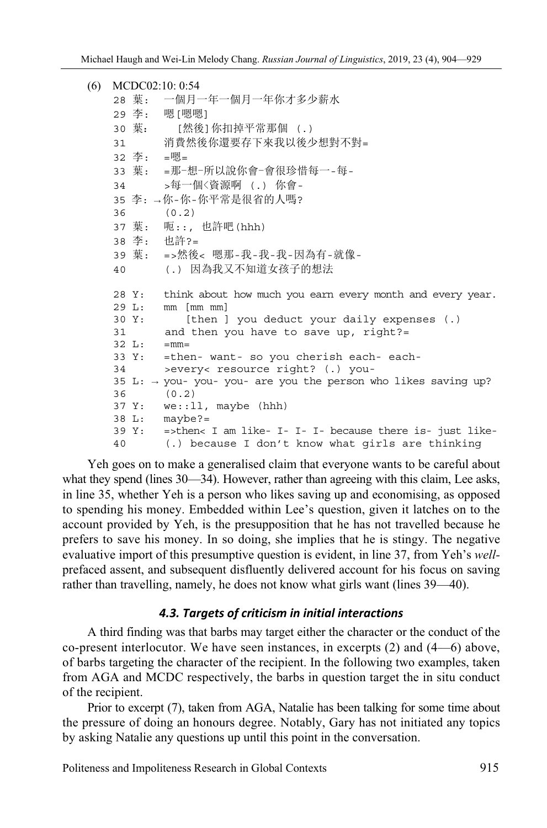```
(6) MCDC02:10: 0:54 
   28 葉: 一個月一年一個月一年你才多少薪水 
   29 李: 嗯[嗯嗯] 
   30 葉: [然後]你扣掉平常那個 (.) 
   31 消費然後你還要存下來我以後少想對不對= 
   32 李: =嗯= 
   33 葉: =那-想-所以說你會-會很珍惜每一-每-
   34 >每一個〈資源啊 (.) 你會-
   35 李: →你-你-你平常是很省的人嗎? 
   36 (0.2) 
   37 葉: 呃::, 也許吧(hhh) 
   38 李: 也許?= 
   39 葉: =>然後< 嗯那-我-我-我-因為有-就像-
   40 (.) 因為我又不知道女孩子的想法
   28 Y: think about how much you earn every month and every year. 
   29 L: mm [mm mm] 
   30 Y: [then ] you deduct your daily expenses (.) 
   31 and then you have to save up, right?= 
   32 L: = mm =33 Y: =then- want- so you cherish each- each-
   34 >every< resource right? (.) you-
   35 L: → you- you- you- are you the person who likes saving up? 
   36 (0.2) 
   37 Y: we::ll, maybe (hhh) 
   38 L: maybe?= 
   39 Y: =>then< I am like- I- I- I- because there is- just like-
   40 (.) because I don't know what girls are thinking
```
Yeh goes on to make a generalised claim that everyone wants to be careful about what they spend (lines 30—34). However, rather than agreeing with this claim, Lee asks, in line 35, whether Yeh is a person who likes saving up and economising, as opposed to spending his money. Embedded within Lee's question, given it latches on to the account provided by Yeh, is the presupposition that he has not travelled because he prefers to save his money. In so doing, she implies that he is stingy. The negative evaluative import of this presumptive question is evident, in line 37, from Yeh's *well*prefaced assent, and subsequent disfluently delivered account for his focus on saving rather than travelling, namely, he does not know what girls want (lines 39—40).

## *4.3. Targets of criticism in initial interactions*

A third finding was that barbs may target either the character or the conduct of the co-present interlocutor. We have seen instances, in excerpts (2) and (4—6) above, of barbs targeting the character of the recipient. In the following two examples, taken from AGA and MCDC respectively, the barbs in question target the in situ conduct of the recipient.

Prior to excerpt (7), taken from AGA, Natalie has been talking for some time about the pressure of doing an honours degree. Notably, Gary has not initiated any topics by asking Natalie any questions up until this point in the conversation.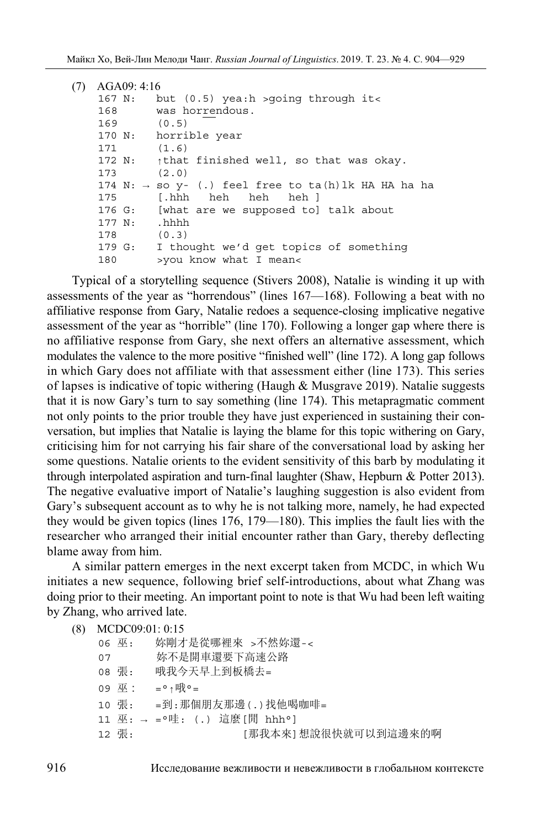| (7) | AGA09:4:16      |                                                                 |
|-----|-----------------|-----------------------------------------------------------------|
|     | 167 N:          | but (0.5) yea:h >going through it<                              |
|     | 168             | was horrendous.                                                 |
|     | $169$ (0.5)     |                                                                 |
|     |                 | 170 N: horrible year                                            |
|     | $171$ $(1.6)$   |                                                                 |
|     |                 | 172 N: $\uparrow$ that finished well, so that was okay.         |
|     | 173             | (2.0)                                                           |
|     |                 | 174 N: $\rightarrow$ so y- (.) feel free to ta(h)lk HA HA ha ha |
|     | 175             | [.hhh heh heh heh]                                              |
|     |                 | 176 G: [what are we supposed to] talk about                     |
|     | $177 N:$ , hhhh |                                                                 |
|     | 178             | (0.3)                                                           |
|     |                 | 179 G: I thought we'd get topics of something                   |
|     | 180             | >you know what I mean<                                          |
|     |                 |                                                                 |

Typical of a storytelling sequence (Stivers 2008), Natalie is winding it up with assessments of the year as "horrendous" (lines 167—168). Following a beat with no affiliative response from Gary, Natalie redoes a sequence-closing implicative negative assessment of the year as "horrible" (line 170). Following a longer gap where there is no affiliative response from Gary, she next offers an alternative assessment, which modulates the valence to the more positive "finished well" (line 172). A long gap follows in which Gary does not affiliate with that assessment either (line 173). This series of lapses is indicative of topic withering (Haugh & Musgrave 2019). Natalie suggests that it is now Gary's turn to say something (line 174). This metapragmatic comment not only points to the prior trouble they have just experienced in sustaining their conversation, but implies that Natalie is laying the blame for this topic withering on Gary, criticising him for not carrying his fair share of the conversational load by asking her some questions. Natalie orients to the evident sensitivity of this barb by modulating it through interpolated aspiration and turn-final laughter (Shaw, Hepburn & Potter 2013). The negative evaluative import of Natalie's laughing suggestion is also evident from Gary's subsequent account as to why he is not talking more, namely, he had expected they would be given topics (lines 176, 179—180). This implies the fault lies with the researcher who arranged their initial encounter rather than Gary, thereby deflecting blame away from him.

A similar pattern emerges in the next excerpt taken from MCDC, in which Wu initiates a new sequence, following brief self-introductions, about what Zhang was doing prior to their meeting. An important point to note is that Wu had been left waiting by Zhang, who arrived late.

```
(8) MCDC09:01: 0:15
```

|    | 06 巫: | 妳剛才是從哪裡來 >不然妳還-<            |
|----|-------|-----------------------------|
| 07 |       | 妳不是開車還要下高速公路                |
|    | 08 張: | 哦我今天早上到板橋去=                 |
|    | 09 巫: | = ° ↑哦 ° =                  |
|    | 10 張: | =到:那個朋友那邊(.)找他喝咖啡=          |
|    |       | 11 巫: → =°哇: (.) 這麼[閒 hhh°] |
|    | 12 張: | [那我本來]想說很快就可以到這邊來的啊         |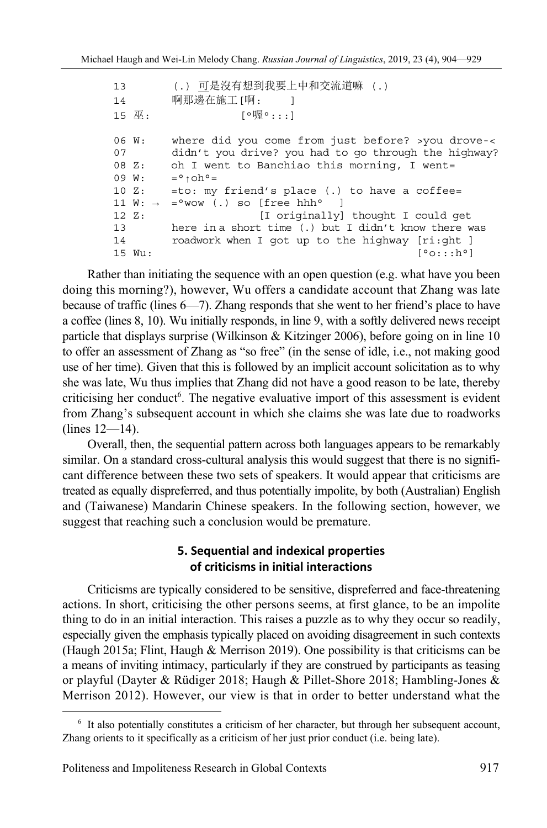13 (.) 可是沒有想到我要上中和交流道嘛 (.) 14 啊那邊在施工[啊: ] 15 巫: [○喔○:::] 06 W: where did you come from just before? >you drove-< 07 didn't you drive? you had to go through the highway? 08 Z: oh I went to Banchiao this morning, I went= 09 W:  $= \circ \uparrow \circ h \circ =$ 10 Z:  $=$  to: my friend's place (.) to have a coffee= 11  $W: \rightarrow$  =°wow (.) so [free hhh° ] 12 Z: [I originally] thought I could get 13 here in a short time (.) but I didn't know there was 14 roadwork when I got up to the highway [ri:ght ] 15 Wu: [°o:::h°]

Rather than initiating the sequence with an open question (e.g. what have you been doing this morning?), however, Wu offers a candidate account that Zhang was late because of traffic (lines 6—7). Zhang responds that she went to her friend's place to have a coffee (lines 8, 10). Wu initially responds, in line 9, with a softly delivered news receipt particle that displays surprise (Wilkinson & Kitzinger 2006), before going on in line 10 to offer an assessment of Zhang as "so free" (in the sense of idle, i.e., not making good use of her time). Given that this is followed by an implicit account solicitation as to why she was late, Wu thus implies that Zhang did not have a good reason to be late, thereby criticising her conduct<sup>6</sup>. The negative evaluative import of this assessment is evident from Zhang's subsequent account in which she claims she was late due to roadworks (lines 12—14).

Overall, then, the sequential pattern across both languages appears to be remarkably similar. On a standard cross-cultural analysis this would suggest that there is no significant difference between these two sets of speakers. It would appear that criticisms are treated as equally dispreferred, and thus potentially impolite, by both (Australian) English and (Taiwanese) Mandarin Chinese speakers. In the following section, however, we suggest that reaching such a conclusion would be premature.

# **5. Sequential and indexical properties of criticisms in initial interactions**

Criticisms are typically considered to be sensitive, dispreferred and face-threatening actions. In short, criticising the other persons seems, at first glance, to be an impolite thing to do in an initial interaction. This raises a puzzle as to why they occur so readily, especially given the emphasis typically placed on avoiding disagreement in such contexts (Haugh 2015a; Flint, Haugh & Merrison 2019). One possibility is that criticisms can be a means of inviting intimacy, particularly if they are construed by participants as teasing or playful (Dayter & Rüdiger 2018; Haugh & Pillet-Shore 2018; Hambling-Jones & Merrison 2012). However, our view is that in order to better understand what the

<sup>&</sup>lt;sup>6</sup> It also potentially constitutes a criticism of her character, but through her subsequent account, Zhang orients to it specifically as a criticism of her just prior conduct (i.e. being late).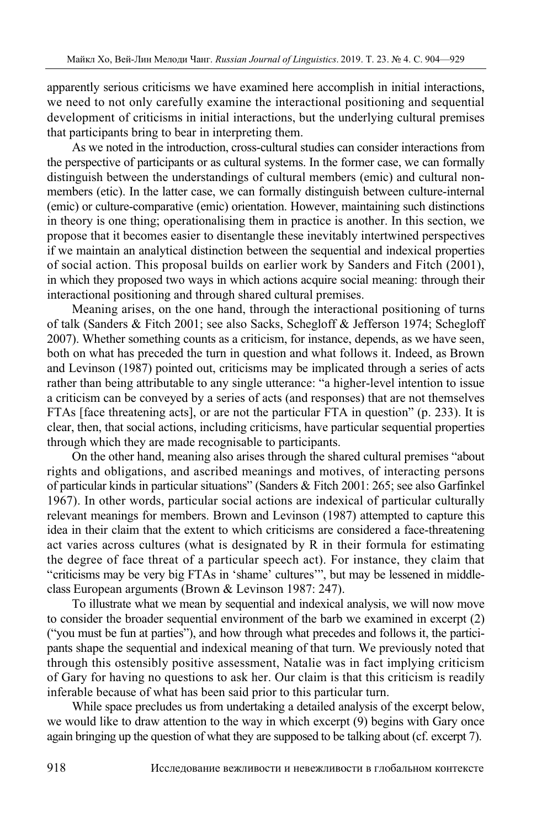apparently serious criticisms we have examined here accomplish in initial interactions, we need to not only carefully examine the interactional positioning and sequential development of criticisms in initial interactions, but the underlying cultural premises that participants bring to bear in interpreting them.

As we noted in the introduction, cross-cultural studies can consider interactions from the perspective of participants or as cultural systems. In the former case, we can formally distinguish between the understandings of cultural members (emic) and cultural nonmembers (etic). In the latter case, we can formally distinguish between culture-internal (emic) or culture-comparative (emic) orientation. However, maintaining such distinctions in theory is one thing; operationalising them in practice is another. In this section, we propose that it becomes easier to disentangle these inevitably intertwined perspectives if we maintain an analytical distinction between the sequential and indexical properties of social action. This proposal builds on earlier work by Sanders and Fitch (2001), in which they proposed two ways in which actions acquire social meaning: through their interactional positioning and through shared cultural premises.

Meaning arises, on the one hand, through the interactional positioning of turns of talk (Sanders & Fitch 2001; see also Sacks, Schegloff & Jefferson 1974; Schegloff 2007). Whether something counts as a criticism, for instance, depends, as we have seen, both on what has preceded the turn in question and what follows it. Indeed, as Brown and Levinson (1987) pointed out, criticisms may be implicated through a series of acts rather than being attributable to any single utterance: "a higher-level intention to issue a criticism can be conveyed by a series of acts (and responses) that are not themselves FTAs [face threatening acts], or are not the particular FTA in question" (p. 233). It is clear, then, that social actions, including criticisms, have particular sequential properties through which they are made recognisable to participants.

On the other hand, meaning also arises through the shared cultural premises "about rights and obligations, and ascribed meanings and motives, of interacting persons of particular kinds in particular situations" (Sanders & Fitch 2001: 265; see also Garfinkel 1967). In other words, particular social actions are indexical of particular culturally relevant meanings for members. Brown and Levinson (1987) attempted to capture this idea in their claim that the extent to which criticisms are considered a face-threatening act varies across cultures (what is designated by R in their formula for estimating the degree of face threat of a particular speech act). For instance, they claim that "criticisms may be very big FTAs in 'shame' cultures'", but may be lessened in middleclass European arguments (Brown & Levinson 1987: 247).

To illustrate what we mean by sequential and indexical analysis, we will now move to consider the broader sequential environment of the barb we examined in excerpt (2) ("you must be fun at parties"), and how through what precedes and follows it, the participants shape the sequential and indexical meaning of that turn. We previously noted that through this ostensibly positive assessment, Natalie was in fact implying criticism of Gary for having no questions to ask her. Our claim is that this criticism is readily inferable because of what has been said prior to this particular turn.

While space precludes us from undertaking a detailed analysis of the excerpt below, we would like to draw attention to the way in which excerpt (9) begins with Gary once again bringing up the question of what they are supposed to be talking about (cf. excerpt 7).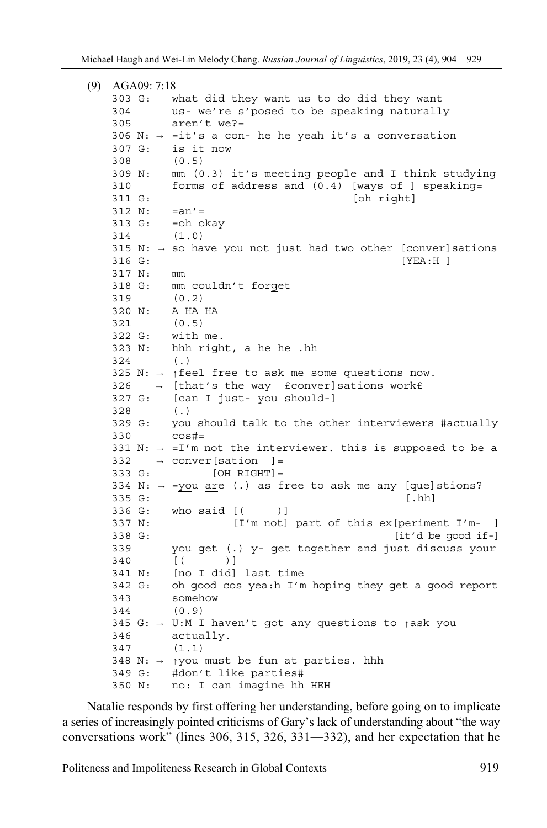| (9) | AGA09: 7:18       |                                                                          |
|-----|-------------------|--------------------------------------------------------------------------|
|     | 303 G:            | what did they want us to do did they want                                |
|     | 304               | us- we're s'posed to be speaking naturally                               |
|     | 305               | $aren't we? =$                                                           |
|     |                   | 306 N: $\rightarrow$ =it's a con- he he yeah it's a conversation         |
|     | 307 G:            | is it now                                                                |
|     | 308               | (0.5)                                                                    |
|     | 309 N:            | mm (0.3) it's meeting people and I think studying                        |
|     | 310               | forms of address and (0.4) [ways of ] speaking=                          |
|     | 311 G:            | [oh right]                                                               |
|     | $312 N: =an' =$   |                                                                          |
|     | 313 G:            | =oh okay                                                                 |
|     | 314               | (1.0)                                                                    |
|     |                   | 315 N: $\rightarrow$ so have you not just had two other [conver] sations |
|     | 316 G:            | [YEA:H]                                                                  |
|     | 317 N:            | mm                                                                       |
|     | 318 G:            | mm couldn't forget                                                       |
|     | 319               | (0.2)                                                                    |
|     | 320 N:            | A HA HA                                                                  |
|     | 321               | (0.5)                                                                    |
|     | $322 G:$ with me. |                                                                          |
|     | 323 N:            | hhh right, a he he .hh                                                   |
|     | 324               | $($ .)                                                                   |
|     |                   | 325 N: $\rightarrow$ {feel free to ask me some questions now.            |
|     | 326               | $\rightarrow$ [that's the way fconver] sations workf                     |
|     | 327 G:            | [can I just- you should-]                                                |
|     | 328               | $($ .)                                                                   |
|     | 329 G:            | you should talk to the other interviewers #actually                      |
|     | 330               | $\cos#=$                                                                 |
|     |                   | 331 N: $\rightarrow$ =I'm not the interviewer. this is supposed to be a  |
|     |                   | $332 \rightarrow$ conver [sation<br>$\vert$ =                            |
|     | 333 G:            | $[OH \ RIGHT] =$                                                         |
|     |                   | 334 N: $\rightarrow$ =you are (.) as free to ask me any [que] stions?    |
|     | 335 G:            | $[.\,hh]$                                                                |
|     | 336 G:            | who said [(<br>$)$ ]                                                     |
|     | 337 N:            | [I'm not] part of this ex [periment I'm- ]                               |
|     | 338 G:            | [it'd be good if-]                                                       |
|     | 339               | you get (.) y- get together and just discuss your                        |
|     | 340               | [ (<br>$)$ ]<br>[no I did] last time                                     |
|     | 341 N:            |                                                                          |
|     | 342 G:            | oh good cos yea:h I'm hoping they get a good report                      |
|     | 343<br>344        | somehow<br>(0.9)                                                         |
|     |                   |                                                                          |
|     | 346               | 345 G: $\rightarrow$ U:M I haven't got any questions to task you         |
|     |                   | actually.<br>(1.1)                                                       |
|     | 347               | 348 N: $\rightarrow$ 1 you must be fun at parties. hhh                   |
|     | 349 G:            | #don't like parties#                                                     |
|     | 350 N:            | no: I can imagine hh HEH                                                 |
|     |                   |                                                                          |

Natalie responds by first offering her understanding, before going on to implicate a series of increasingly pointed criticisms of Gary's lack of understanding about "the way conversations work" (lines 306, 315, 326, 331—332), and her expectation that he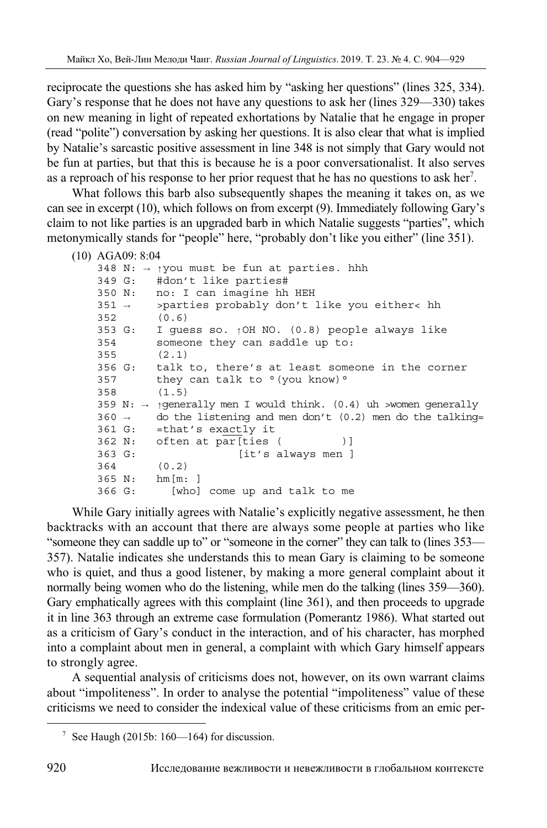reciprocate the questions she has asked him by "asking her questions" (lines 325, 334). Gary's response that he does not have any questions to ask her (lines 329—330) takes on new meaning in light of repeated exhortations by Natalie that he engage in proper (read "polite") conversation by asking her questions. It is also clear that what is implied by Natalie's sarcastic positive assessment in line 348 is not simply that Gary would not be fun at parties, but that this is because he is a poor conversationalist. It also serves as a reproach of his response to her prior request that he has no questions to ask her<sup>7</sup>.

What follows this barb also subsequently shapes the meaning it takes on, as we can see in excerpt (10), which follows on from excerpt (9). Immediately following Gary's claim to not like parties is an upgraded barb in which Natalie suggests "parties", which metonymically stands for "people" here, "probably don't like you either" (line 351).

```
(10) AGA09: 8:04 
   348 N: → ↑you must be fun at parties. hhh 
   349 G: #don't like parties# 
   350 N: no: I can imagine hh HEH 
   351 → >parties probably don't like you either< hh 
   352 (0.6) 
    353 G: I guess so. ↑OH NO. (0.8) people always like 
    354 someone they can saddle up to: 
   355 (2.1) 
   356 G: talk to, there's at least someone in the corner 
   357 they can talk to \degree (you know) \degree358 (1.5) 
   359 N: → ↑generally men I would think. (0.4) uh >women generally 
   360 \rightarrow do the listening and men don't (0.2) men do the talking=
   361 G: =that's exactly it 
   362 N: often at par[ties ()]
   363 G: [it's always men ] 
   364 (0.2) 
   365 N: hm[m: ] 
   366 G: [who] come up and talk to me
```
While Gary initially agrees with Natalie's explicitly negative assessment, he then backtracks with an account that there are always some people at parties who like "someone they can saddle up to" or "someone in the corner" they can talk to (lines 353— 357). Natalie indicates she understands this to mean Gary is claiming to be someone who is quiet, and thus a good listener, by making a more general complaint about it normally being women who do the listening, while men do the talking (lines 359—360). Gary emphatically agrees with this complaint (line 361), and then proceeds to upgrade it in line 363 through an extreme case formulation (Pomerantz 1986). What started out as a criticism of Gary's conduct in the interaction, and of his character, has morphed into a complaint about men in general, a complaint with which Gary himself appears to strongly agree.

A sequential analysis of criticisms does not, however, on its own warrant claims about "impoliteness". In order to analyse the potential "impoliteness" value of these criticisms we need to consider the indexical value of these criticisms from an emic per-

<sup>&</sup>lt;sup>7</sup> See Haugh (2015b: 160—164) for discussion.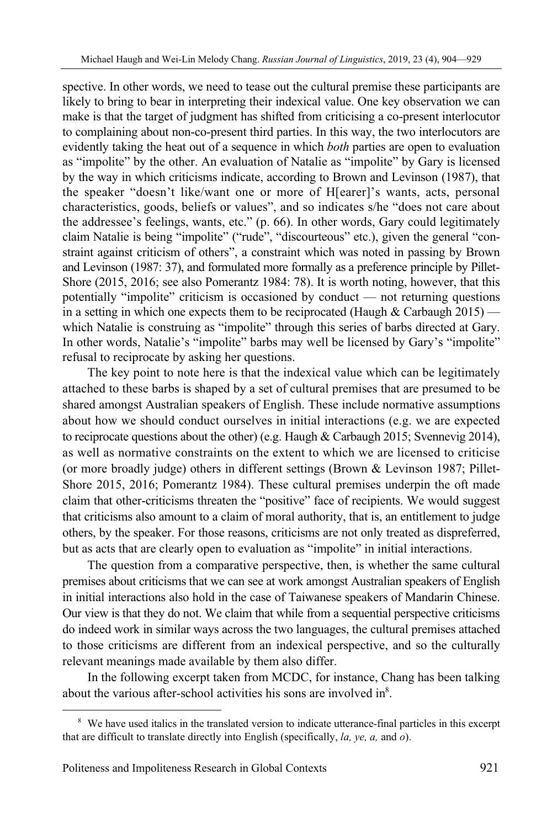spective. In other words, we need to tease out the cultural premise these participants are likely to bring to bear in interpreting their indexical value. One key observation we can make is that the target of judgment has shifted from criticising a co-present interlocutor to complaining about non-co-present third parties. In this way, the two interlocutors are evidently taking the heat out of a sequence in which *both* parties are open to evaluation as "impolite" by the other. An evaluation of Natalie as "impolite" by Gary is licensed by the way in which criticisms indicate, according to Brown and Levinson (1987), that the speaker "doesn't like/want one or more of H[earer]'s wants, acts, personal characteristics, goods, beliefs or values", and so indicates s/he "does not care about the addressee's feelings, wants, etc." (p. 66). In other words, Gary could legitimately claim Natalie is being "impolite" ("rude", "discourteous" etc.), given the general "constraint against criticism of others", a constraint which was noted in passing by Brown and Levinson (1987: 37), and formulated more formally as a preference principle by Pillet-Shore (2015, 2016; see also Pomerantz 1984: 78). It is worth noting, however, that this potentially "impolite" criticism is occasioned by conduct — not returning questions in a setting in which one expects them to be reciprocated (Haugh  $\&$  Carbaugh 2015) which Natalie is construing as "impolite" through this series of barbs directed at Gary. In other words, Natalie's "impolite" barbs may well be licensed by Gary's "impolite" refusal to reciprocate by asking her questions.

The key point to note here is that the indexical value which can be legitimately attached to these barbs is shaped by a set of cultural premises that are presumed to be shared amongst Australian speakers of English. These include normative assumptions about how we should conduct ourselves in initial interactions (e.g. we are expected to reciprocate questions about the other) (e.g. Haugh & Carbaugh 2015; Svennevig 2014), as well as normative constraints on the extent to which we are licensed to criticise (or more broadly judge) others in different settings (Brown & Levinson 1987; Pillet-Shore 2015, 2016; Pomerantz 1984). These cultural premises underpin the oft made claim that other-criticisms threaten the "positive" face of recipients. We would suggest that criticisms also amount to a claim of moral authority, that is, an entitlement to judge others, by the speaker. For those reasons, criticisms are not only treated as dispreferred, but as acts that are clearly open to evaluation as "impolite" in initial interactions.

The question from a comparative perspective, then, is whether the same cultural premises about criticisms that we can see at work amongst Australian speakers of English in initial interactions also hold in the case of Taiwanese speakers of Mandarin Chinese. Our view is that they do not. We claim that while from a sequential perspective criticisms do indeed work in similar ways across the two languages, the cultural premises attached to those criticisms are different from an indexical perspective, and so the culturally relevant meanings made available by them also differ.

In the following excerpt taken from MCDC, for instance, Chang has been talking about the various after-school activities his sons are involved in $8$ .

<sup>&</sup>lt;sup>8</sup> We have used italics in the translated version to indicate utterance-final particles in this excerpt that are difficult to translate directly into English (specifically, *la, ye, a,* and *o*).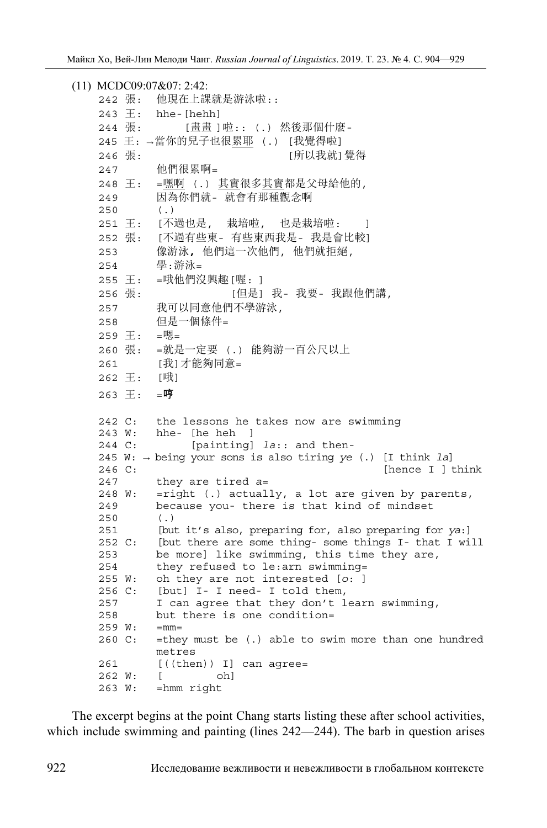```
(11) MCDC09:07&07: 2:42: 
   242 張: 他現在上課就是游泳啦:: 
   243 \pm: hhe-[hehh]
   244 張: [畫畫 ]啦:: (.) 然後那個什麼-
   245 王: →當你的兒子也很累耶 (.) [我覺得啦] 
   246 張: [所以我就]覺得 
   247 他們很累啊= 
   248 王: =嘿啊 (.) 其實很多其實都是父母給他的, 
   249 因為你們就- 就會有那種觀念啊
   250 (.) 
   251 王: [不過也是, 栽培啦, 也是栽培啦: ]
   252 張: [不過有些東- 有些東西我是- 我是會比較] 
   253 像游泳, 他們這一次他們, 他們就拒絕, 
   254 學:游泳= 
   255 王: =哦他們沒興趣[喔: ] 
   256 張: [但是] 我- 我要- 我跟他們講, 
   257 我可以同意他們不學游泳,
   258 但是一個條件= 
   259 王: =嗯= 
   260 張: =就是一定要 (.) 能夠游一百公尺以上
   261 [我] 才能夠同意=
   262 王: [哦] 
   263 王: =哼
   242 C: the lessons he takes now are swimming 
   243 W: hhe- [he heh ] 
   244 C: [painting] la:: and then-
   245 W: → being your sons is also tiring ye (.) [I think la] 
   246 C: [hence I ] think
   247 they are tired a= 
   248 W: =right (.) actually, a lot are given by parents, 
   249 because you- there is that kind of mindset 
   250 (.) 
   251 [but it's also, preparing for, also preparing for ya:] 
   252 C: [but there are some thing- some things I- that I will 
   253 be more] like swimming, this time they are, 
   254 they refused to le:arn swimming= 
   255 W: oh they are not interested [o: ] 
   256 C: [but] I- I need- I told them, 
   257 I can agree that they don't learn swimming, 
   258 but there is one condition= 
   259 W: =mm= 
   260 C: =they must be (.) able to swim more than one hundred 
          metres 
   261 [((then)) I] can agree= 
   262 W: [ oh] 
   263 W: =hmm right
```
The excerpt begins at the point Chang starts listing these after school activities, which include swimming and painting (lines 242—244). The barb in question arises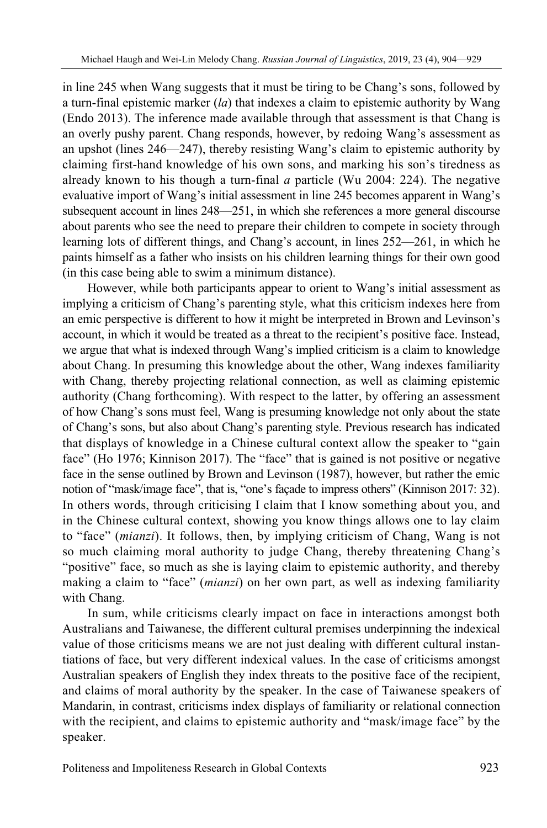in line 245 when Wang suggests that it must be tiring to be Chang's sons, followed by a turn-final epistemic marker (*la*) that indexes a claim to epistemic authority by Wang (Endo 2013). The inference made available through that assessment is that Chang is an overly pushy parent. Chang responds, however, by redoing Wang's assessment as an upshot (lines 246—247), thereby resisting Wang's claim to epistemic authority by claiming first-hand knowledge of his own sons, and marking his son's tiredness as already known to his though a turn-final *a* particle (Wu 2004: 224). The negative evaluative import of Wang's initial assessment in line 245 becomes apparent in Wang's subsequent account in lines 248—251, in which she references a more general discourse about parents who see the need to prepare their children to compete in society through learning lots of different things, and Chang's account, in lines 252—261, in which he paints himself as a father who insists on his children learning things for their own good (in this case being able to swim a minimum distance).

However, while both participants appear to orient to Wang's initial assessment as implying a criticism of Chang's parenting style, what this criticism indexes here from an emic perspective is different to how it might be interpreted in Brown and Levinson's account, in which it would be treated as a threat to the recipient's positive face. Instead, we argue that what is indexed through Wang's implied criticism is a claim to knowledge about Chang. In presuming this knowledge about the other, Wang indexes familiarity with Chang, thereby projecting relational connection, as well as claiming epistemic authority (Chang forthcoming). With respect to the latter, by offering an assessment of how Chang's sons must feel, Wang is presuming knowledge not only about the state of Chang's sons, but also about Chang's parenting style. Previous research has indicated that displays of knowledge in a Chinese cultural context allow the speaker to "gain face" (Ho 1976; Kinnison 2017). The "face" that is gained is not positive or negative face in the sense outlined by Brown and Levinson (1987), however, but rather the emic notion of "mask/image face", that is, "one's façade to impress others" (Kinnison 2017: 32). In others words, through criticising I claim that I know something about you, and in the Chinese cultural context, showing you know things allows one to lay claim to "face" (*mianzi*). It follows, then, by implying criticism of Chang, Wang is not so much claiming moral authority to judge Chang, thereby threatening Chang's "positive" face, so much as she is laying claim to epistemic authority, and thereby making a claim to "face" (*mianzi*) on her own part, as well as indexing familiarity with Chang.

In sum, while criticisms clearly impact on face in interactions amongst both Australians and Taiwanese, the different cultural premises underpinning the indexical value of those criticisms means we are not just dealing with different cultural instantiations of face, but very different indexical values. In the case of criticisms amongst Australian speakers of English they index threats to the positive face of the recipient, and claims of moral authority by the speaker. In the case of Taiwanese speakers of Mandarin, in contrast, criticisms index displays of familiarity or relational connection with the recipient, and claims to epistemic authority and "mask/image face" by the speaker.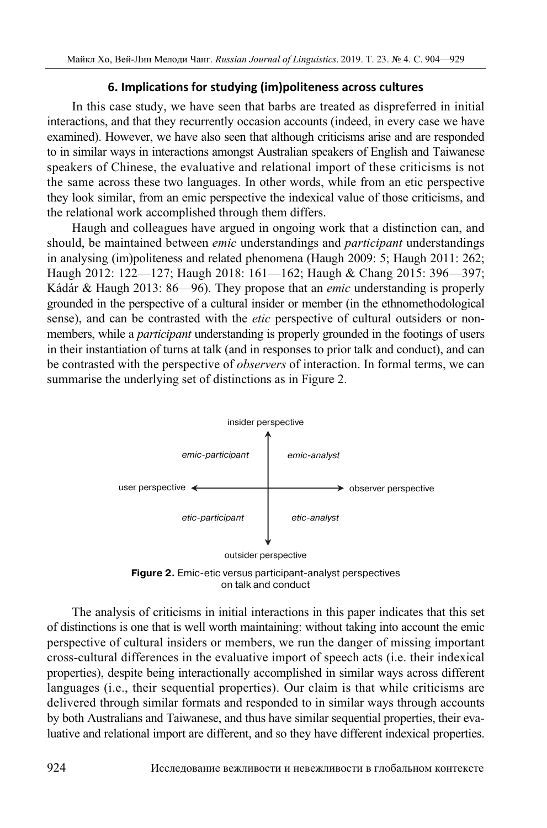# **6. Implications for studying (im)politeness across cultures**

In this case study, we have seen that barbs are treated as dispreferred in initial interactions, and that they recurrently occasion accounts (indeed, in every case we have examined). However, we have also seen that although criticisms arise and are responded to in similar ways in interactions amongst Australian speakers of English and Taiwanese speakers of Chinese, the evaluative and relational import of these criticisms is not the same across these two languages. In other words, while from an etic perspective they look similar, from an emic perspective the indexical value of those criticisms, and the relational work accomplished through them differs.

Haugh and colleagues have argued in ongoing work that a distinction can, and should, be maintained between *emic* understandings and *participant* understandings in analysing (im)politeness and related phenomena (Haugh 2009: 5; Haugh 2011: 262; Haugh 2012: 122—127; Haugh 2018: 161—162; Haugh & Chang 2015: 396—397; Kádár & Haugh 2013: 86—96). They propose that an *emic* understanding is properly grounded in the perspective of a cultural insider or member (in the ethnomethodological sense), and can be contrasted with the *etic* perspective of cultural outsiders or nonmembers, while a *participant* understanding is properly grounded in the footings of users in their instantiation of turns at talk (and in responses to prior talk and conduct), and can be contrasted with the perspective of *observers* of interaction. In formal terms, we can summarise the underlying set of distinctions as in Figure 2.



on talk and conduct

The analysis of criticisms in initial interactions in this paper indicates that this set of distinctions is one that is well worth maintaining: without taking into account the emic perspective of cultural insiders or members, we run the danger of missing important cross-cultural differences in the evaluative import of speech acts (i.e. their indexical properties), despite being interactionally accomplished in similar ways across different languages (i.e., their sequential properties). Our claim is that while criticisms are delivered through similar formats and responded to in similar ways through accounts by both Australians and Taiwanese, and thus have similar sequential properties, their evaluative and relational import are different, and so they have different indexical properties.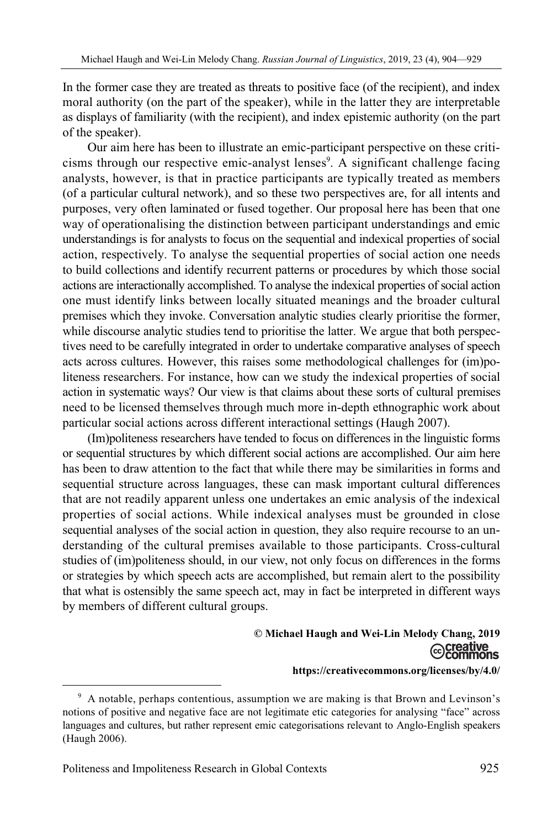In the former case they are treated as threats to positive face (of the recipient), and index moral authority (on the part of the speaker), while in the latter they are interpretable as displays of familiarity (with the recipient), and index epistemic authority (on the part of the speaker).

Our aim here has been to illustrate an emic-participant perspective on these criticisms through our respective emic-analyst lenses<sup>9</sup>. A significant challenge facing analysts, however, is that in practice participants are typically treated as members (of a particular cultural network), and so these two perspectives are, for all intents and purposes, very often laminated or fused together. Our proposal here has been that one way of operationalising the distinction between participant understandings and emic understandings is for analysts to focus on the sequential and indexical properties of social action, respectively. To analyse the sequential properties of social action one needs to build collections and identify recurrent patterns or procedures by which those social actions are interactionally accomplished. To analyse the indexical properties of social action one must identify links between locally situated meanings and the broader cultural premises which they invoke. Conversation analytic studies clearly prioritise the former, while discourse analytic studies tend to prioritise the latter. We argue that both perspectives need to be carefully integrated in order to undertake comparative analyses of speech acts across cultures. However, this raises some methodological challenges for (im)politeness researchers. For instance, how can we study the indexical properties of social action in systematic ways? Our view is that claims about these sorts of cultural premises need to be licensed themselves through much more in-depth ethnographic work about particular social actions across different interactional settings (Haugh 2007).

(Im)politeness researchers have tended to focus on differences in the linguistic forms or sequential structures by which different social actions are accomplished. Our aim here has been to draw attention to the fact that while there may be similarities in forms and sequential structure across languages, these can mask important cultural differences that are not readily apparent unless one undertakes an emic analysis of the indexical properties of social actions. While indexical analyses must be grounded in close sequential analyses of the social action in question, they also require recourse to an understanding of the cultural premises available to those participants. Cross-cultural studies of (im)politeness should, in our view, not only focus on differences in the forms or strategies by which speech acts are accomplished, but remain alert to the possibility that what is ostensibly the same speech act, may in fact be interpreted in different ways by members of different cultural groups.

# **© Michael Haugh and Wei-Lin Melody Chang, 2019**

#### **https://creativecommons.org/licenses/by/4.0/**

<sup>&</sup>lt;sup>9</sup> A notable, perhaps contentious, assumption we are making is that Brown and Levinson's notions of positive and negative face are not legitimate etic categories for analysing "face" across languages and cultures, but rather represent emic categorisations relevant to Anglo-English speakers (Haugh 2006).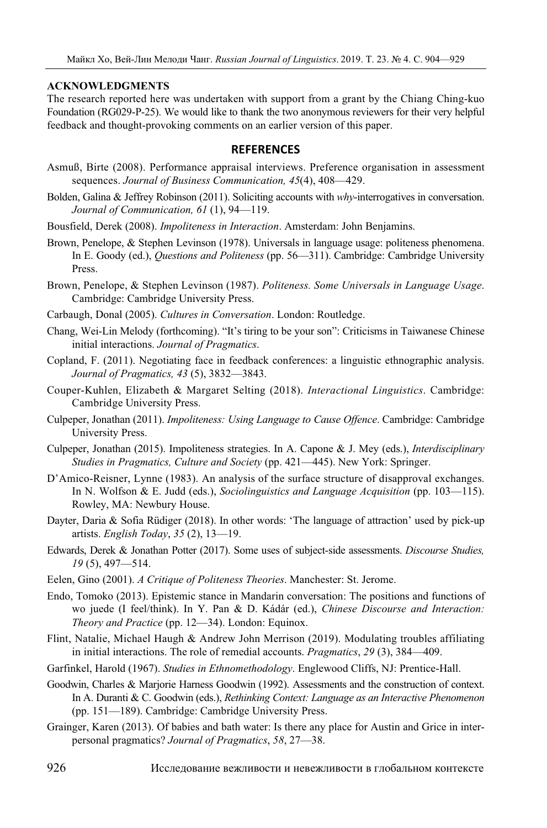#### **ACKNOWLEDGMENTS**

The research reported here was undertaken with support from a grant by the Chiang Ching-kuo Foundation (RG029-P-25). We would like to thank the two anonymous reviewers for their very helpful feedback and thought-provoking comments on an earlier version of this paper.

### **REFERENCES**

- Asmuß, Birte (2008). Performance appraisal interviews. Preference organisation in assessment sequences. *Journal of Business Communication, 45*(4), 408—429.
- Bolden, Galina & Jeffrey Robinson (2011). Soliciting accounts with *why*-interrogatives in conversation. *Journal of Communication, 61* (1), 94—119.
- Bousfield, Derek (2008). *Impoliteness in Interaction*. Amsterdam: John Benjamins.
- Brown, Penelope, & Stephen Levinson (1978). Universals in language usage: politeness phenomena. In E. Goody (ed.), *Questions and Politeness* (pp. 56—311). Cambridge: Cambridge University Press.
- Brown, Penelope, & Stephen Levinson (1987). *Politeness. Some Universals in Language Usage*. Cambridge: Cambridge University Press.
- Carbaugh, Donal (2005). *Cultures in Conversation*. London: Routledge.
- Chang, Wei-Lin Melody (forthcoming). "It's tiring to be your son": Criticisms in Taiwanese Chinese initial interactions. *Journal of Pragmatics*.
- Copland, F. (2011). Negotiating face in feedback conferences: a linguistic ethnographic analysis. *Journal of Pragmatics, 43* (5), 3832—3843.
- Couper-Kuhlen, Elizabeth & Margaret Selting (2018). *Interactional Linguistics*. Cambridge: Cambridge University Press.
- Culpeper, Jonathan (2011). *Impoliteness: Using Language to Cause Offence*. Cambridge: Cambridge University Press.
- Culpeper, Jonathan (2015). Impoliteness strategies. In A. Capone & J. Mey (eds.), *Interdisciplinary Studies in Pragmatics, Culture and Society* (pp. 421—445). New York: Springer.
- D'Amico-Reisner, Lynne (1983). An analysis of the surface structure of disapproval exchanges. In N. Wolfson & E. Judd (eds.), *Sociolinguistics and Language Acquisition* (pp. 103—115). Rowley, MA: Newbury House.
- Dayter, Daria & Sofia Rüdiger (2018). In other words: 'The language of attraction' used by pick-up artists. *English Today*, *35* (2), 13—19.
- Edwards, Derek & Jonathan Potter (2017). Some uses of subject-side assessments. *Discourse Studies, 19* (5), 497—514.
- Eelen, Gino (2001). *A Critique of Politeness Theories*. Manchester: St. Jerome.
- Endo, Tomoko (2013). Epistemic stance in Mandarin conversation: The positions and functions of wo juede (I feel/think). In Y. Pan & D. Kádár (ed.), *Chinese Discourse and Interaction: Theory and Practice* (pp. 12—34). London: Equinox.
- Flint, Natalie, Michael Haugh & Andrew John Merrison (2019). Modulating troubles affiliating in initial interactions. The role of remedial accounts. *Pragmatics*, *29* (3), 384—409.
- Garfinkel, Harold (1967). *Studies in Ethnomethodology*. Englewood Cliffs, NJ: Prentice-Hall.
- Goodwin, Charles & Marjorie Harness Goodwin (1992). Assessments and the construction of context. In A. Duranti & C. Goodwin (eds.), *Rethinking Context: Language as an Interactive Phenomenon* (pp. 151—189). Cambridge: Cambridge University Press.
- Grainger, Karen (2013). Of babies and bath water: Is there any place for Austin and Grice in interpersonal pragmatics? *Journal of Pragmatics*, *58*, 27—38.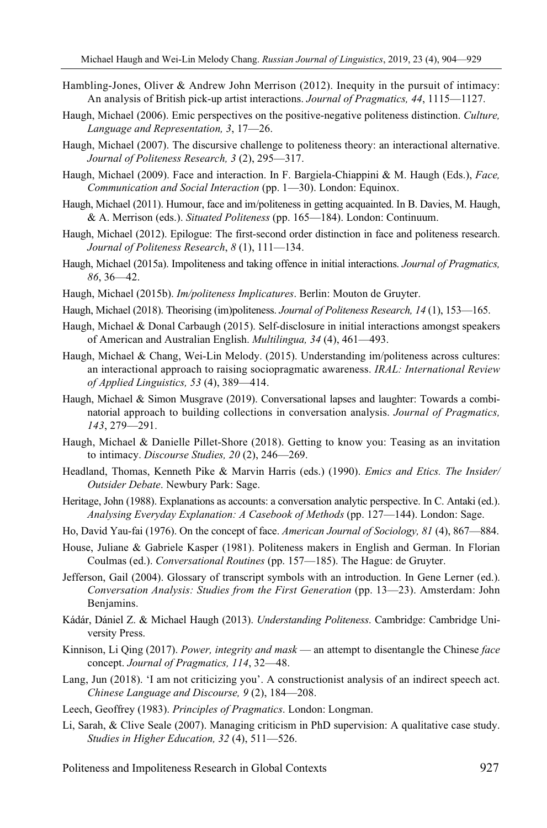- Hambling-Jones, Oliver & Andrew John Merrison (2012). Inequity in the pursuit of intimacy: An analysis of British pick-up artist interactions. *Journal of Pragmatics, 44*, 1115—1127.
- Haugh, Michael (2006). Emic perspectives on the positive-negative politeness distinction. *Culture, Language and Representation, 3*, 17—26.
- Haugh, Michael (2007). The discursive challenge to politeness theory: an interactional alternative. *Journal of Politeness Research, 3* (2), 295—317.
- Haugh, Michael (2009). Face and interaction. In F. Bargiela-Chiappini & M. Haugh (Eds.), *Face, Communication and Social Interaction* (pp. 1—30). London: Equinox.
- Haugh, Michael (2011). Humour, face and im/politeness in getting acquainted. In B. Davies, M. Haugh, & A. Merrison (eds.). *Situated Politeness* (pp. 165—184). London: Continuum.
- Haugh, Michael (2012). Epilogue: The first-second order distinction in face and politeness research. *Journal of Politeness Research*, *8* (1), 111—134.
- Haugh, Michael (2015a). Impoliteness and taking offence in initial interactions. *Journal of Pragmatics, 86*, 36—42.
- Haugh, Michael (2015b). *Im/politeness Implicatures*. Berlin: Mouton de Gruyter.
- Haugh, Michael (2018). Theorising (im)politeness. *Journal of Politeness Research, 14* (1), 153—165.
- Haugh, Michael & Donal Carbaugh (2015). Self-disclosure in initial interactions amongst speakers of American and Australian English. *Multilingua, 34* (4), 461—493.
- Haugh, Michael & Chang, Wei-Lin Melody. (2015). Understanding im/politeness across cultures: an interactional approach to raising sociopragmatic awareness. *IRAL: International Review of Applied Linguistics, 53* (4), 389—414.
- Haugh, Michael & Simon Musgrave (2019). Conversational lapses and laughter: Towards a combinatorial approach to building collections in conversation analysis. *Journal of Pragmatics, 143*, 279—291.
- Haugh, Michael & Danielle Pillet-Shore (2018). Getting to know you: Teasing as an invitation to intimacy. *Discourse Studies, 20* (2), 246—269.
- Headland, Thomas, Kenneth Pike & Marvin Harris (eds.) (1990). *Emics and Etics. The Insider/ Outsider Debate*. Newbury Park: Sage.
- Heritage, John (1988). Explanations as accounts: a conversation analytic perspective. In C. Antaki (ed.). *Analysing Everyday Explanation: A Casebook of Methods* (pp. 127—144). London: Sage.
- Ho, David Yau-fai (1976). On the concept of face. *American Journal of Sociology, 81* (4), 867—884.
- House, Juliane & Gabriele Kasper (1981). Politeness makers in English and German. In Florian Coulmas (ed.). *Conversational Routines* (pp. 157—185). The Hague: de Gruyter.
- Jefferson, Gail (2004). Glossary of transcript symbols with an introduction. In Gene Lerner (ed.). *Conversation Analysis: Studies from the First Generation* (pp. 13—23). Amsterdam: John Benjamins.
- Kádár, Dániel Z. & Michael Haugh (2013). *Understanding Politeness*. Cambridge: Cambridge University Press.
- Kinnison, Li Qing (2017). *Power, integrity and mask* an attempt to disentangle the Chinese *face* concept. *Journal of Pragmatics, 114*, 32—48.
- Lang, Jun (2018). 'I am not criticizing you'. A constructionist analysis of an indirect speech act. *Chinese Language and Discourse, 9* (2), 184—208.
- Leech, Geoffrey (1983). *Principles of Pragmatics*. London: Longman.
- Li, Sarah, & Clive Seale (2007). Managing criticism in PhD supervision: A qualitative case study. *Studies in Higher Education, 32* (4), 511—526.

Politeness and Impoliteness Research in Global Contexts 927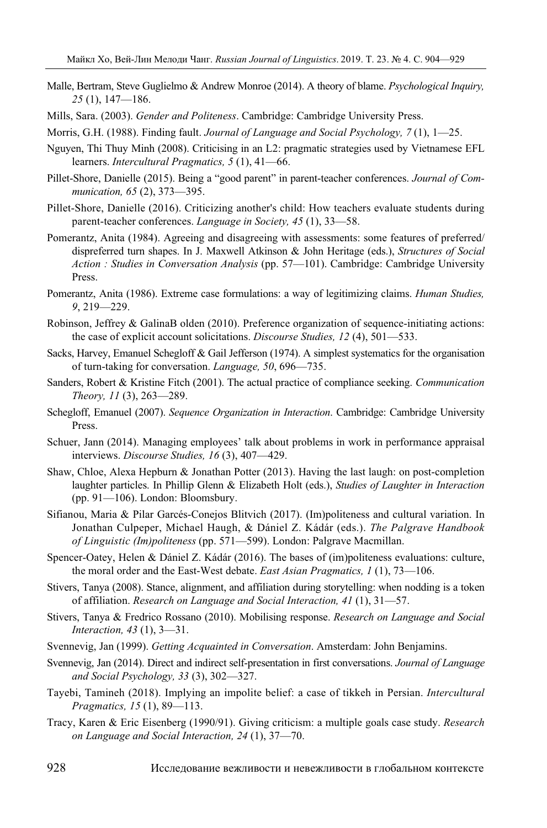- Malle, Bertram, Steve Guglielmo & Andrew Monroe (2014). A theory of blame. *Psychological Inquiry, 25* (1), 147—186.
- Mills, Sara. (2003). *Gender and Politeness*. Cambridge: Cambridge University Press.
- Morris, G.H. (1988). Finding fault. *Journal of Language and Social Psychology, 7* (1), 1—25.
- Nguyen, Thi Thuy Minh (2008). Criticising in an L2: pragmatic strategies used by Vietnamese EFL learners. *Intercultural Pragmatics, 5* (1), 41—66.
- Pillet-Shore, Danielle (2015). Being a "good parent" in parent-teacher conferences. *Journal of Communication, 65* (2), 373—395.
- Pillet-Shore, Danielle (2016). Criticizing another's child: How teachers evaluate students during parent-teacher conferences. *Language in Society, 45* (1), 33—58.
- Pomerantz, Anita (1984). Agreeing and disagreeing with assessments: some features of preferred/ dispreferred turn shapes. In J. Maxwell Atkinson & John Heritage (eds.), *Structures of Social Action : Studies in Conversation Analysis* (pp. 57—101). Cambridge: Cambridge University Press.
- Pomerantz, Anita (1986). Extreme case formulations: a way of legitimizing claims. *Human Studies, 9*, 219—229.
- Robinson, Jeffrey & GalinaB olden (2010). Preference organization of sequence-initiating actions: the case of explicit account solicitations. *Discourse Studies, 12* (4), 501—533.
- Sacks, Harvey, Emanuel Schegloff & Gail Jefferson (1974). A simplest systematics for the organisation of turn-taking for conversation. *Language, 50*, 696—735.
- Sanders, Robert & Kristine Fitch (2001). The actual practice of compliance seeking. *Communication Theory, 11* (3), 263—289.
- Schegloff, Emanuel (2007). *Sequence Organization in Interaction*. Cambridge: Cambridge University Press.
- Schuer, Jann (2014). Managing employees' talk about problems in work in performance appraisal interviews. *Discourse Studies, 16* (3), 407—429.
- Shaw, Chloe, Alexa Hepburn & Jonathan Potter (2013). Having the last laugh: on post-completion laughter particles. In Phillip Glenn & Elizabeth Holt (eds.), *Studies of Laughter in Interaction* (pp. 91—106). London: Bloomsbury.
- Sifianou, Maria & Pilar Garcés-Conejos Blitvich (2017). (Im)politeness and cultural variation. In Jonathan Culpeper, Michael Haugh, & Dániel Z. Kádár (eds.). *The Palgrave Handbook of Linguistic (Im)politeness* (pp. 571—599). London: Palgrave Macmillan.
- Spencer-Oatey, Helen & Dániel Z. Kádár (2016). The bases of (im)politeness evaluations: culture, the moral order and the East-West debate. *East Asian Pragmatics, 1* (1), 73—106.
- Stivers, Tanya (2008). Stance, alignment, and affiliation during storytelling: when nodding is a token of affiliation. *Research on Language and Social Interaction, 41* (1), 31—57.
- Stivers, Tanya & Fredrico Rossano (2010). Mobilising response. *Research on Language and Social Interaction, 43* (1), 3—31.
- Svennevig, Jan (1999). *Getting Acquainted in Conversation*. Amsterdam: John Benjamins.
- Svennevig, Jan (2014). Direct and indirect self-presentation in first conversations. *Journal of Language and Social Psychology, 33* (3), 302—327.
- Tayebi, Tamineh (2018). Implying an impolite belief: a case of tikkeh in Persian. *Intercultural Pragmatics, 15* (1), 89—113.
- Tracy, Karen & Eric Eisenberg (1990/91). Giving criticism: a multiple goals case study. *Research on Language and Social Interaction, 24* (1), 37—70.